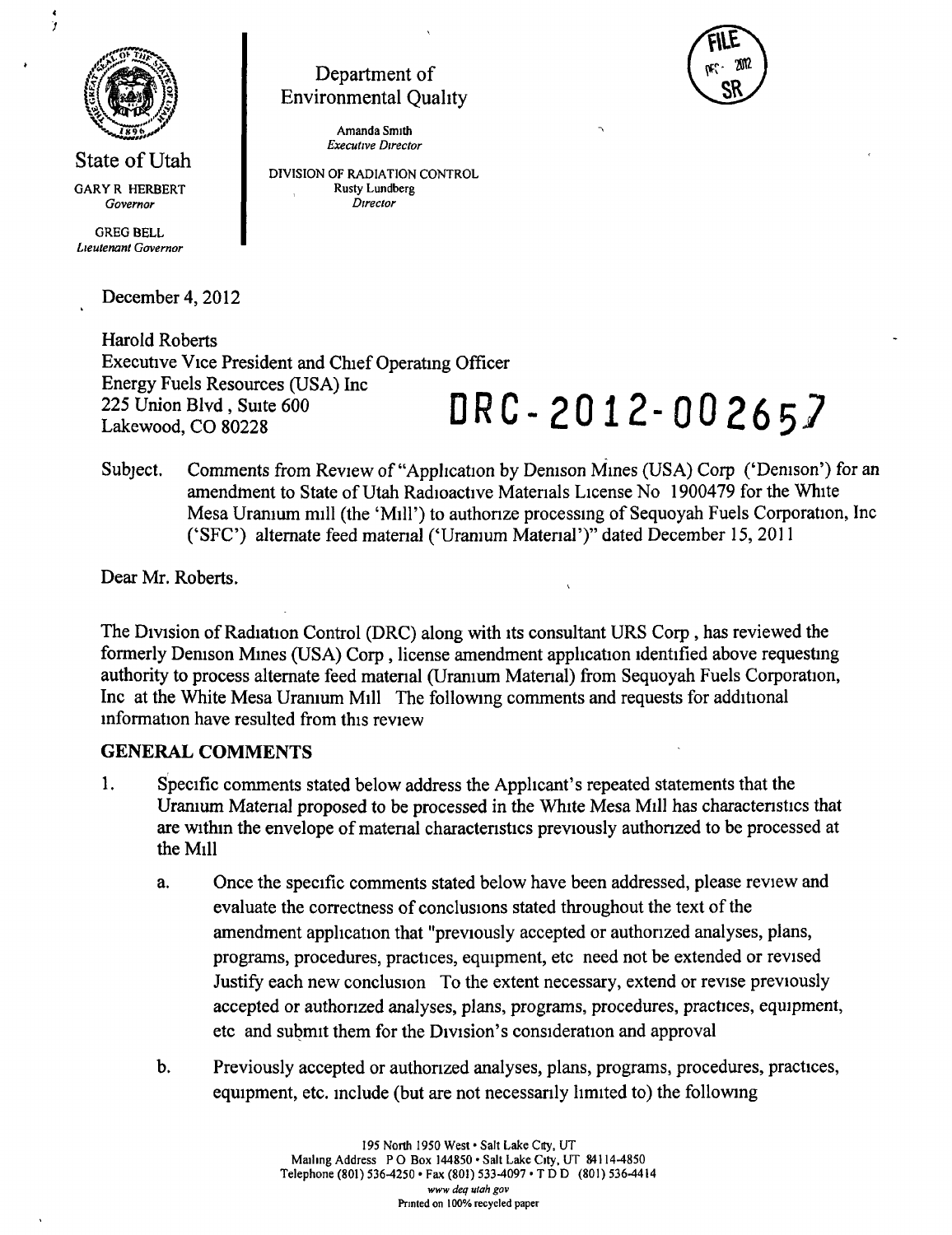

State of Utah GARYR HERBERT Governor

*GREG BELL Lieutenant Governor* 

December 4, 2012

Harold Roberts Executive Vice President and Chief Operating Officer Energy Fuels Resources (USA) Inc 225 Union Blvd , Suite 600<br>Lakewood, CO 80228<br>**DRC**-2012-002657

Subject. Comments from Review of "Application by Denison Mines (USA) Corp ('Denison') for an amendment to State of Utah Radioactive Materials License No 1900479 for the White Mesa Uranium mill (the 'Mill') to authonze processing of Sequoyah Fuels Corporation, Inc ('SFC') alternate feed matenal ('Uranium Material')" dated December 15, 2011

Dear Mr. Roberts.

The Division of Radiation Control (DRC) along with its consultant URS Corp , has reviewed the formerly Denison Mines (USA) Corp, license amendment application identified above requesting authority to process alternate feed matenal (Uranium Material) from Sequoyah Fuels Corporation, Inc at the White Mesa Uranium Mill The following comments and requests for additional information have resulted from this review

#### **GENERAL COMMENTS**

- 1. Specific comments stated below address the Applicant's repeated statements that the Uranium Matenal proposed to be processed in the White Mesa Mill has charactenstics that are within the envelope of matenal characteristics previously authorized to be processed at the Mill
	- a. Once the specific comments stated below have been addressed, please review and evaluate the correctness of conclusions stated throughout the text of the amendment application that "previously accepted or authorized analyses, plans, programs, procedures, practices, equipment, etc need not be extended or revised Justify each new conclusion To the extent necessary, extend or revise previously accepted or authorized analyses, plans, programs, procedures, practices, equipment, etc and submit them for the Division's consideration and approval
	- b. Previously accepted or authorized analyses, plans, programs, procedures, practices, equipment, etc. include (but are not necessarily limited to) the following



*Amanda Smith Executive Director* 

*DIVISION OF RADIATION CONTROL Rusty Lundberg Director*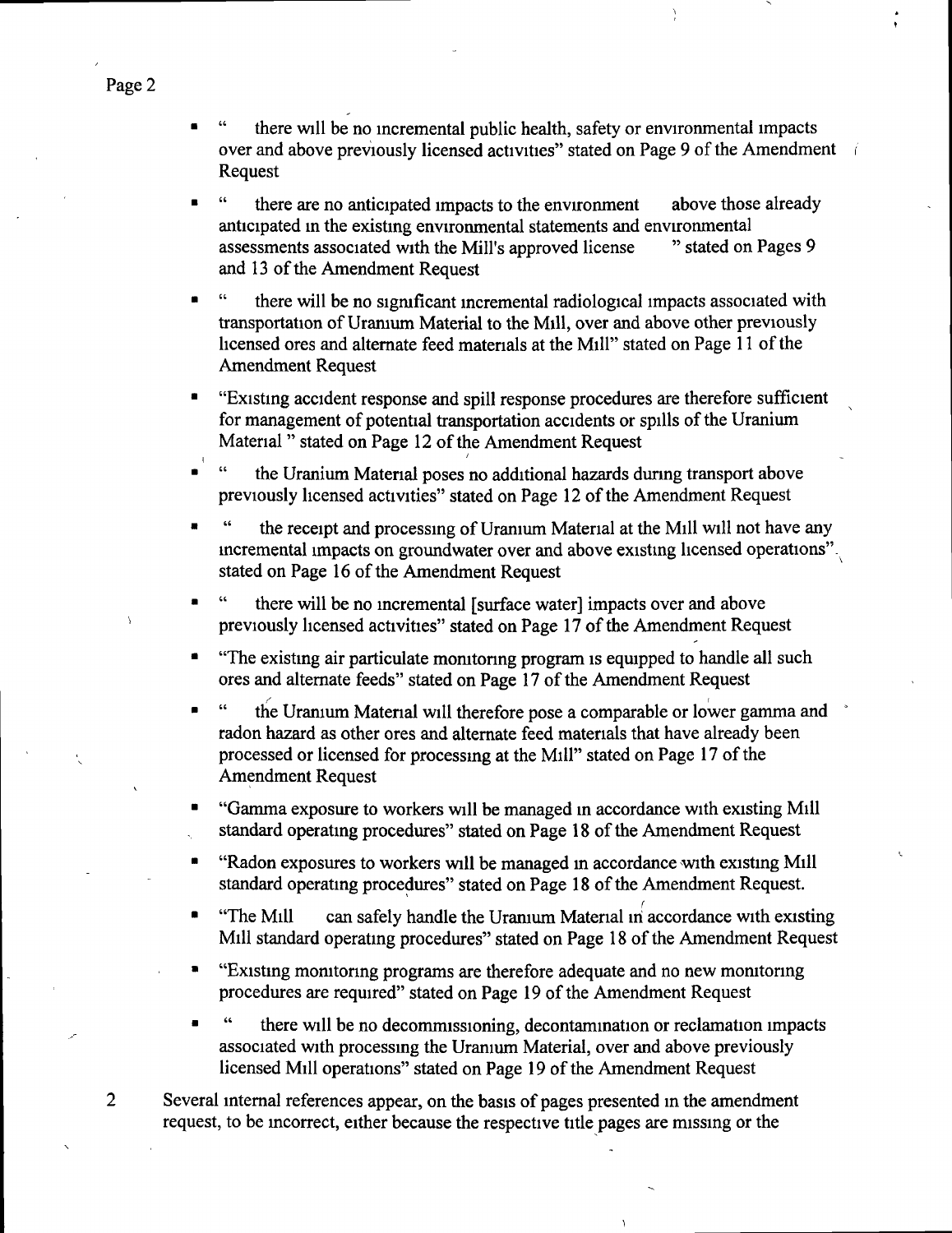- there will be no incremental public health, safety or environmental impacts over and above previously licensed activities" stated on Page 9 of the Amendment i Request
- " there are no anticipated impacts to the environment above those already anticipated in the existing environmental statements and environmental<br>assessments associated with the Mill's approved license and stated on Pages 9 assessments associated with the Mill's approved license and 13 of the Amendment Request
- there will be no significant incremental radiological impacts associated with transportation of Uramum Material to the Mill, over and above other previously licensed ores and altemate feed materials at the Mill" stated on Page 11 of the Amendment Request
- "Existing accident response and spill response procedures are therefore sufficient for management of potential transportation accidents or spills of the Uranium Material " stated on Page 12 of the Amendment Request
- the Uranium Material poses no additional hazards during transport above previously licensed activities" stated on Page 12 of the Amendment Request
- the receipt and processing of Uranium Material at the Mill will not have any incremental impacts on groundwater over and above existing licensed operations" $\cdot$ stated on Page 16 of the Amendment Request
- there will be no incremental [surface water] impacts over and above previously licensed activities" stated on Page 17 of the Amendment Request
- "The existing air particulate momtonng program is equipped to handle all such ores and altemate feeds" stated on Page 17 of the Amendment Request
- the Uranium Material will therefore pose a comparable or lower gamma and radon hazard as other ores and altemate feed materials that have already been processed or licensed for processing at the Mill" stated on Page 17 of the Amendment Request
- "Gamma exposure to workers will be managed in accordance with existing Mill standard operating procedures" stated on Page 18 of the Amendment Request
- "Radon exposures to workers will be managed m accordance with existing Mill standard operating procedures" stated on Page 18 of the Amendment Request.
- "The Mill can safely handle the Uramum Material in accordance with existing Mill standard operating procedures" stated on Page 18 of the Amendment Request
- "Existing monitoring programs are therefore adequate and no new monitoring procedures are required" stated on Page 19 of the Amendment Request
- there will be no decommissioning, decontamination or reclamation impacts associated with processing the Uranium Material, over and above previously licensed Mill operations" stated on Page 19 of the Amendment Request
- Several internal references appear, on the basis of pages presented in the amendment request, to be incorrect, either because the respective title pages are missing or the

 $\overline{2}$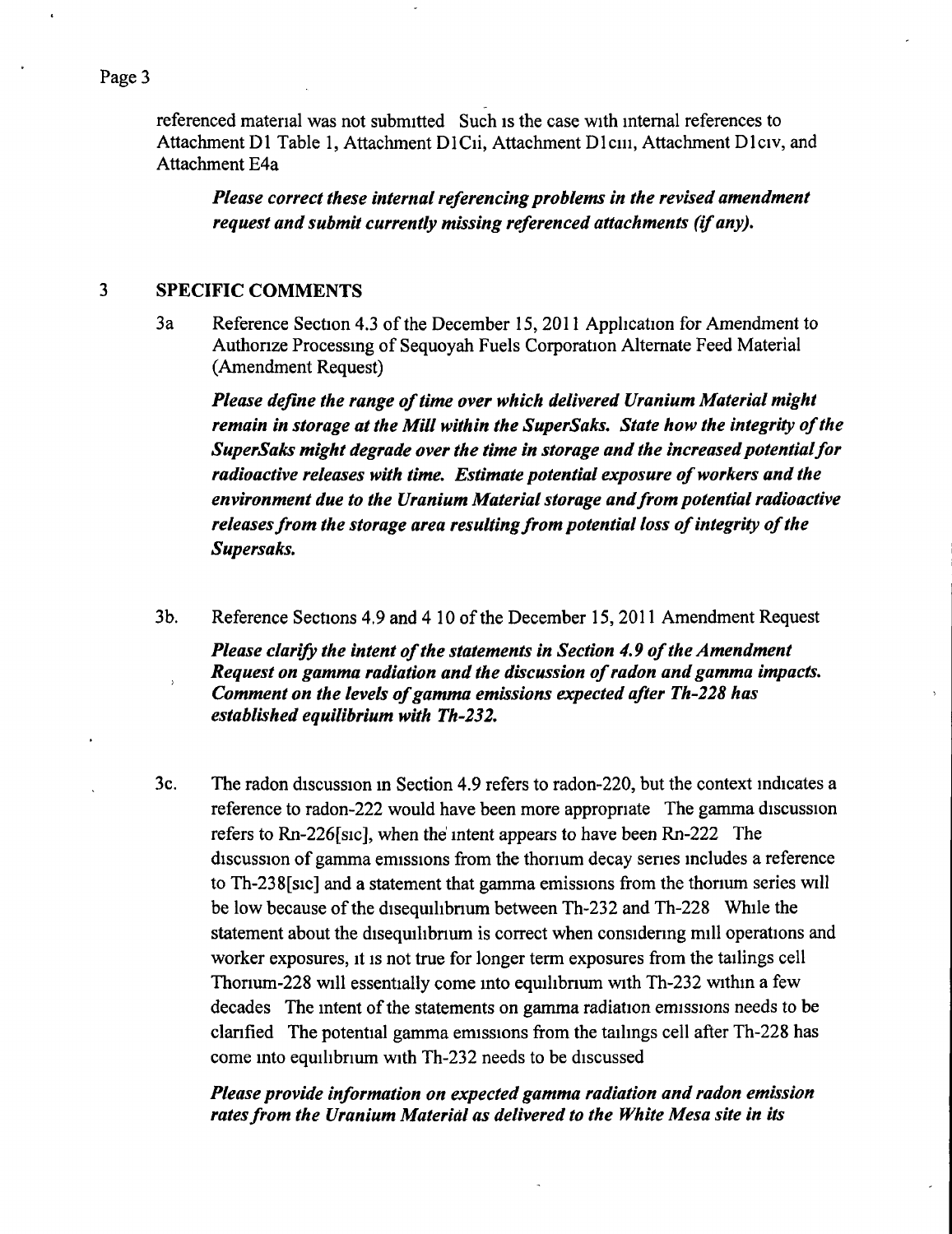referenced material was not submitted Such is the case with internal references to Attachment D1 Table 1, Attachment D1Cii, Attachment D1ciii, Attachment D1civ, and Attachment E4a

*Please correct these internal referencing problems in the revised amendment request and submit currently missing referenced attachments (if any).* 

#### $\overline{\mathbf{3}}$ **SPECIFIC COMMENTS**

3a Reference Section 4.3 of the December 15, 2011 Apphcation for Amendment to Authorize Processing of Sequoyah Fuels Corporation Altemate Feed Material (Amendment Request)

*Please define the range of time over which delivered Uranium Material might remain in storage at the Mill within the SuperSaks, State how the integrity of the SuperSaks might degrade over the time in storage and the increased potentialfor radioactive releases with time. Estimate potential exposure of workers and the environment due to the Uranium Material storage and from potential radioactive releases from the storage area resulting from potential loss of integrity of the Supersaks,* 

3b. Reference Sections 4.9 and 4 10 of the December 15, 2011 Amendment Request

*Please clarify the intent of the statements in Section 4,9 of the Amendment Request on gamma radiation and the discussion of radon and gamma impacts. Comment on the levels of gamma emissions expected after Th'228 has established equilibrium with Th'232,* 

3c. The radon discussion in Section 4.9 refers to radon-220, but the context indicates a reference to radon-222 would have been more appropriate The gamma discussion refers to Rn-226[sic], when the' intent appears to have been Rn-222 The discussion of gamma emissions from the thorium decay series includes a reference to Th-238[sic] and a statement that gamma emissions from the thorium series will be low because of the disequilibnum between Th-232 and Th-228 While the statement about the disequilibrium is correct when considering mill operations and worker exposures, it is not true for longer term exposures from the tailings cell Thorium-228 will essentially come into equilibnum with Th-232 within a few decades The intent of the statements on gamma radiation emissions needs to be clarified The potential gamma emissions from the tailings cell after Th-228 has come into equilibrium with Th-232 needs to be discussed

### *Please provide information on expected gamma radiation and radon emission rates from the Uranium Material as delivered to the White Mesa site in its*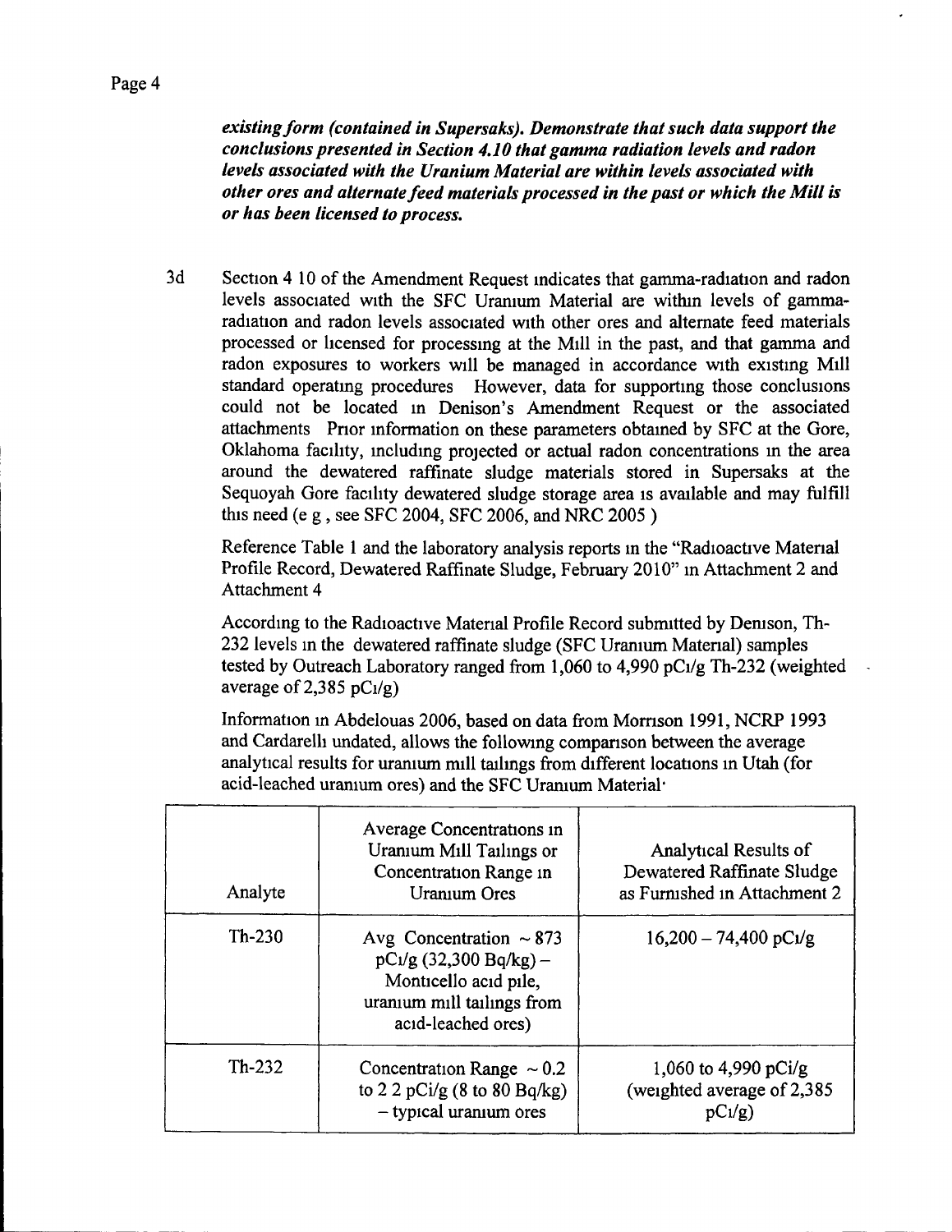*existing form (contained in Supersaks), Demonstrate that such data support the conclusions presented in Section 4.10 that gamma radiation levels and radon levels associated with the Uranium Material are within levels associated with other ores and alternate feed materials processed in the past or which the Mill is or has been licensed to process.* 

3d Section 4 10 of the Amendment Request indicates that gamma-radiation and radon levels associated with the SFC Uranium Material are within levels of gammaradiation and radon levels associated with other ores and altemate feed materials processed or licensed for processing at the Mill in the past, and that gamma and radon exposures to workers will be managed in accordance with existing Mill standard operating procedures However, data for supporting those conclusions could not be located in Denison's Amendment Request or the associated attachments Prior information on these parameters obtained by SFC at the Gore, Oklahoma facility, including projected or actual radon concentrations in the area around the dewatered raffinate sludge materials stored in Supersaks at the Sequoyah Gore facility dewatered sludge storage area is available and may fiilfill this need (e g , see SFC 2004, SFC 2006, and NRC 2005 )

Reference Table 1 and the laboratory analysis reports in the "Radioactive Material Profile Record, Dewatered Raffinate Sludge, February 2010" in Attachment 2 and Attachment 4

According to the Radioactive Material Profile Record submitted by Demson, Th-232 levels in the dewatered raffinate sludge (SFC Uranium Material) samples tested by Outreach Laboratory ranged from 1,060 to 4,990 pCi/g Th-232 (weighted average of 2,385  $pC<sub>1</sub>/g$ )

Information in Abdelouas 2006, based on data from Morrison 1991, NCRP 1993 and Cardarelli undated, allows the following comparison between the average analytical results for uranium mill tailings from different locations in Utah (for acid-leached uranium ores) and the SFC Uranium Material\*

| Analyte  | Average Concentrations in<br>Uranium Mill Tailings or<br>Concentration Range in<br>Uranium Ores                                        | <b>Analytical Results of</b><br>Dewatered Raffinate Sludge<br>as Furnished in Attachment 2 |
|----------|----------------------------------------------------------------------------------------------------------------------------------------|--------------------------------------------------------------------------------------------|
| $Th-230$ | Avg Concentration $\sim 873$<br>$pC_1/g$ (32,300 Bq/kg) –<br>Monticello acid pile,<br>uranium mill tailings from<br>acid-leached ores) | $16,200 - 74,400 \text{ pC1/g}$                                                            |
| $Th-232$ | Concentration Range $\sim 0.2$<br>to 2 2 pCi/g $(8 \text{ to } 80 \text{ Bq/kg})$<br>- typical uranium ores                            | 1,060 to 4,990 pCi/g<br>(weighted average of 2,385)<br>$pC_1/g$                            |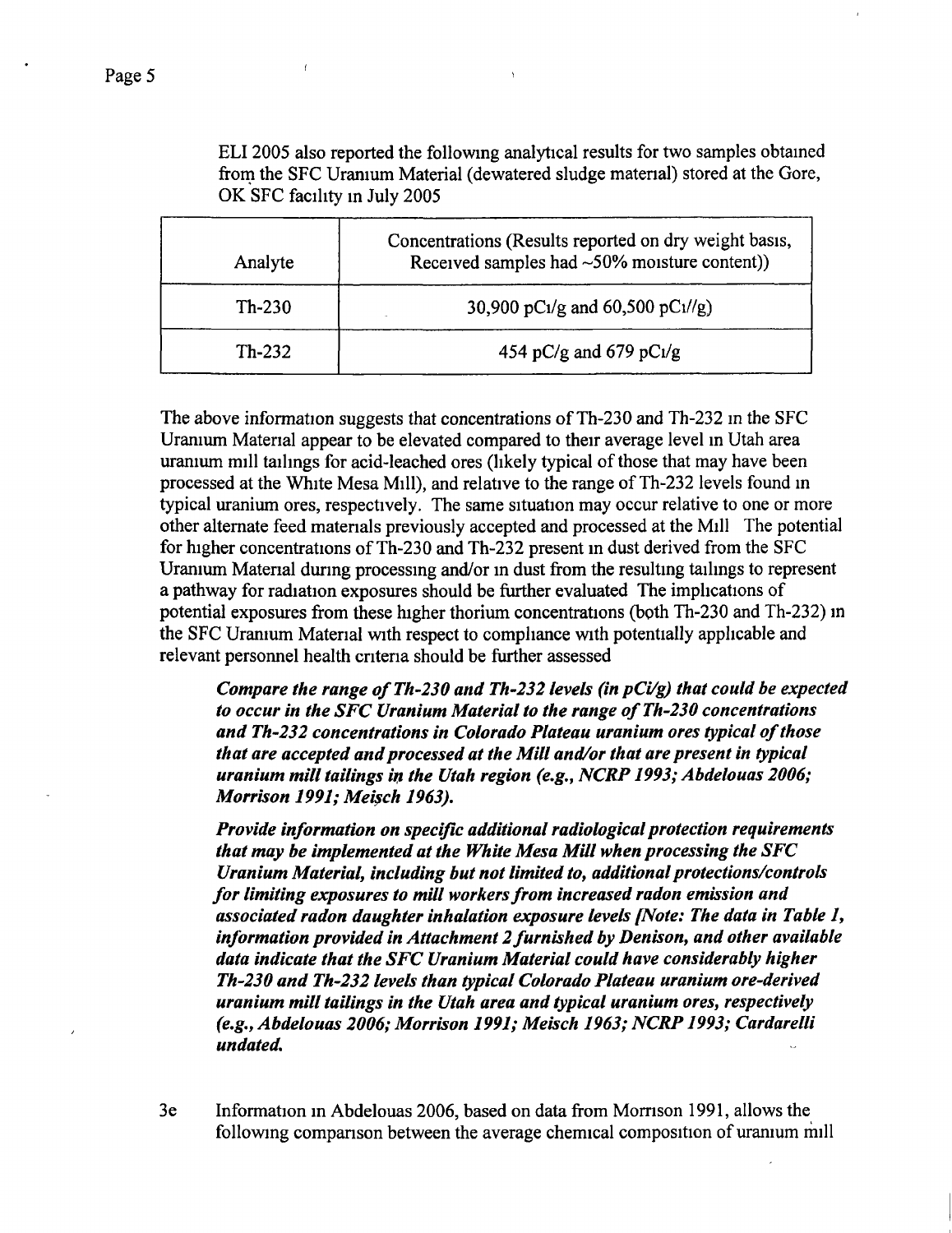ELI 2005 also reported the following analytical results for two samples obtained frorn the SFC Uranium Material (dewatered sludge matenal) stored at the Gore, OK SFC facility m July 2005

| Analyte  | Concentrations (Results reported on dry weight basis,<br>Received samples had ~50% moisture content)) |
|----------|-------------------------------------------------------------------------------------------------------|
| $Th-230$ | 30,900 pC1/g and 60,500 pC1//g)                                                                       |
| $Th-232$ | 454 pC/g and 679 pC $1/g$                                                                             |

The above information suggests that concentrations of Th-230 and Th-232 in the SFC Uranium Material appear to be elevated compared to their average level in Utah area uranium mill tailings for acid-leached ores (likely typical of those that may have been processed at the White Mesa Mill), and relative to the range of Th-232 levels found in typical uranium ores, respectively. The same situation may occur relative to one or more other altemate feed materials previously accepted and processed at the Mill The potential for higher concentrations of Th-230 and Th-232 present in dust derived from the SFC Uranium Material during processing and/or in dust from the resulting tailings to represent a pathway for radiation exposures should be further evaluated The implications of potential exposures from these higher thorium concentrations (both Th-230 and Th-232) in the SFC Uranium Material with respect to compliance with potentially applicable and relevant personnel health criteria should be further assessed

*Compare the range of Th-230 and Th-232 levels (in pCi/g) that could be expected to occur in the SFC Uranium Material to the range of Th-230 concentrations and Th'232 concentrations in Colorado Plateau uranium ores typical of those that are accepted and processed at the Mill and/or that are present in typical uranium mill tailings in the Utah region (e,g,, NCRP 1993; Abdelouas 2006; Morrison 1991; Mei^ch 1963),* 

*Provide information on specific additional radiological protection requirements that may be implemented at the White Mesa Mill when processing the SFC Uranium Material, including but not limited to, additional protections/controls for limiting exposures to mill workers from increased radon emission and associated radon daughter inhalation exposure levels [Note: The data in Table 1, information provided in Attachment 2 furnished by Denison, and other available data indicate that the SFC Uranium Material could have considerably higher Th-230 and Th'232 levels than typical Colorado Plateau uranium ore-derived uranium mill tailings in the Utah area and typical uranium ores, respectively (e,g,, Abdelouas 2006; Morrison 1991; Meisch 1963; NCRP 1993; Cardarelli undated.* 

3e Information in Abdelouas 2006, based on data from Momson 1991, allows the following comparison between the average chemical composition of uranium mill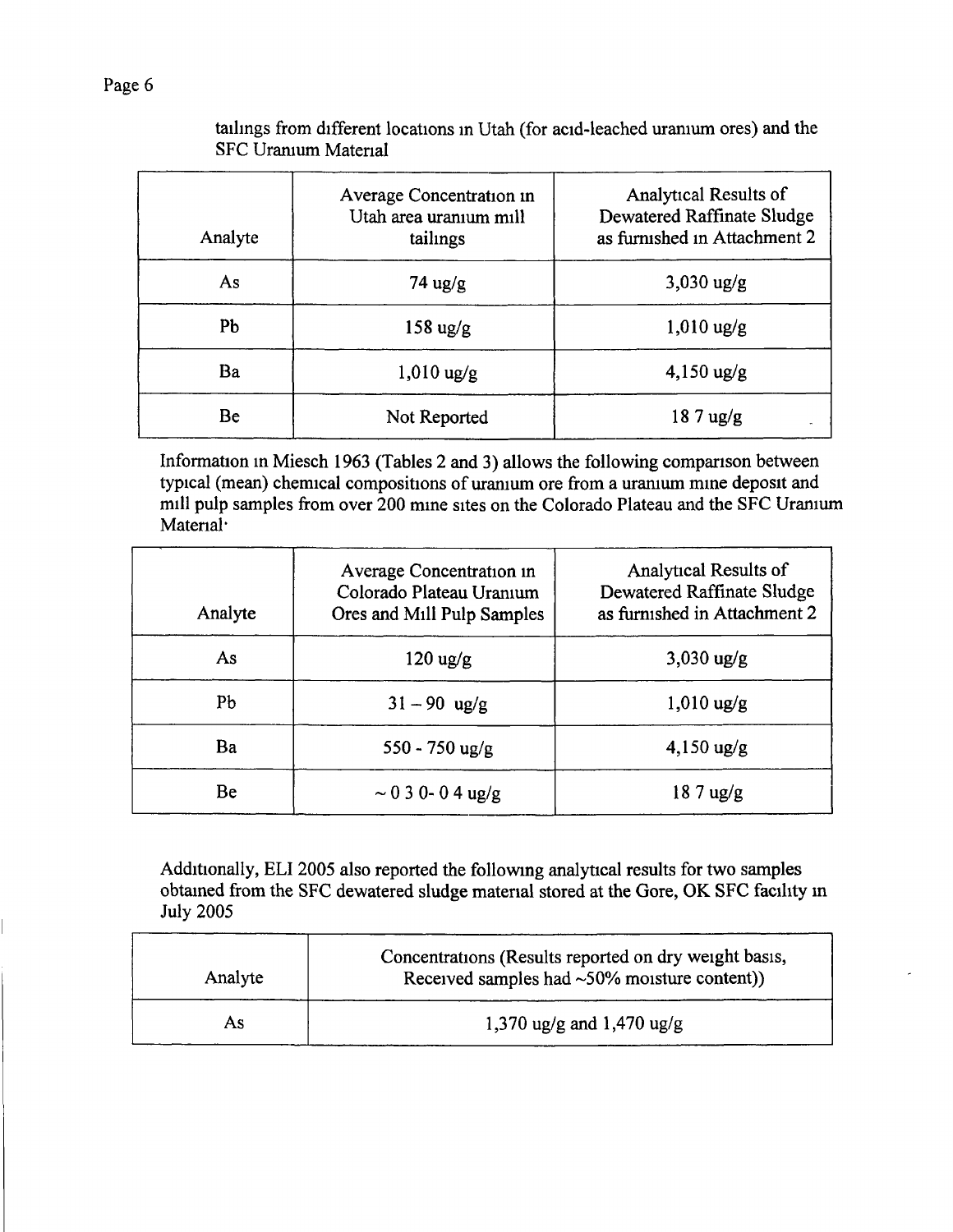## tailings from different locations in Utah (for acid-leached uranium ores) and the SFC Uranium Material

| Analyte | Average Concentration in<br>Utah area uranıum mill<br>tailings | Analytical Results of<br>Dewatered Raffinate Sludge<br>as furnished in Attachment 2 |
|---------|----------------------------------------------------------------|-------------------------------------------------------------------------------------|
| As      | $74 \text{ ug/g}$                                              | $3,030 \text{ ug/g}$                                                                |
| Pb      | $158 \text{ ug/g}$                                             | $1,010$ ug/g                                                                        |
| Ba      | $1,010 \text{ ug/g}$                                           | $4,150 \text{ ug/g}$                                                                |
| Be      | Not Reported                                                   | $187$ ug/g                                                                          |

Information in Miesch 1963 (Tables 2 and 3) allows the following comparison between typical (mean) chemical compositions of uranium ore from a uranium mine deposit and mill pulp samples from over 200 mine sites on the Colorado Plateau and the SFC Uranium Material<sup>.</sup>

| Analyte | Average Concentration in<br>Colorado Plateau Uranium<br>Ores and Mill Pulp Samples | Analytical Results of<br><b>Dewatered Raffinate Sludge</b><br>as furnished in Attachment 2 |
|---------|------------------------------------------------------------------------------------|--------------------------------------------------------------------------------------------|
| As      | $120 \text{ ug/g}$                                                                 | $3,030 \text{ ug/g}$                                                                       |
| Pb      | $31 - 90$ ug/g                                                                     | $1,010$ ug/g                                                                               |
| Ba      | $550 - 750$ ug/g                                                                   | $4,150 \text{ ug/g}$                                                                       |
| Be      | $\sim$ 0 3 0- 0 4 ug/g                                                             | $187$ ug/g                                                                                 |

Additionally, ELI 2005 also reported the following analytical results for two samples obtained from the SFC dewatered sludge material stored at the Gore, OK SFC facility in July 2005

| Analyte | Concentrations (Results reported on dry weight basis,<br>Received samples had $\sim 50\%$ moisture content)) |
|---------|--------------------------------------------------------------------------------------------------------------|
| As.     | 1,370 ug/g and 1,470 ug/g                                                                                    |

Page 6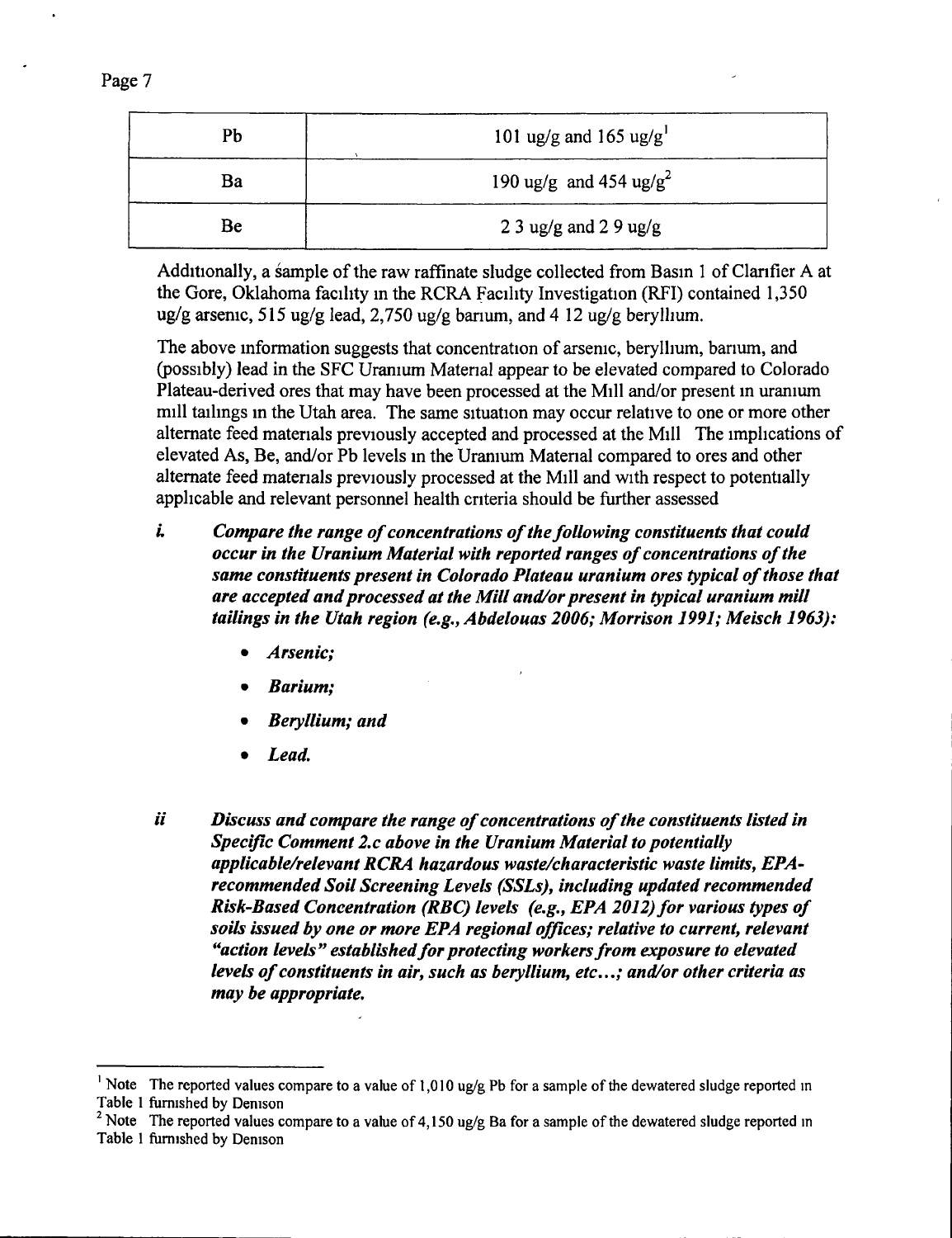| Pb | 101 ug/g and 165 ug/g <sup>1</sup> |
|----|------------------------------------|
| Ba | 190 ug/g and 454 ug/g <sup>2</sup> |
| Be | 2 3 ug/g and 2 9 ug/g              |

Additionally, a sample of the raw raffinate sludge collected from Basin 1 of Clarifier A at the Gore, Oklahoma facility in the RCRA Facility Investigation (RFI) contained 1,350 ug/g arsenic, 515 ug/g lead, 2,750 ug/g banum, and 4 12 ug/g beryllium.

The above information suggests that concentration of arsenic, beryllium, barium, and (possibly) lead in the SFC Uranium Material appear to be elevated compared to Colorado Plateau-derived ores that may have been processed at the Mill and/or present m uranium mill tailings in the Utah area. The same situation may occur relative to one or more other altemate feed materials previously accepted and processed at the Mill The implications of elevated As, Be, and/or Pb levels in the Uranium Material compared to ores and other altemate feed materials previously processed at the Mill and with respect to potentially applicable and relevant personnel health criteria should be fiarther assessed

- *L Compare the range of concentrations of the following constituents that could occur in the Uranium Material with reported ranges of concentrations of the same constituents present in Colorado Plateau uranium ores typical of those that are accepted and processed at the Mill and/or present in typical uranium mill tailings in the Utah region (e,g,, Abdelouas 2006; Morrison 1991; Meisch 1963):* 
	- *Arsenic;*
	- *Barium;*
	- *Beryllium; and*
	- *Lead,*
- *ii Discuss and compare the range of concentrations of the constituents listed in Specific Comment 2,c above in the Uranium Material to potentially applicable/relevant RCRA hazardous waste/characteristic waste limits, EPArecommended Soil Screening Levels (SSLs), including updated recommended Risk-Based Concentration (RBC) levels (e.g., EPA 2012) for various types of soils issued by one or more EPA regional offices; relative to current, relevant*  "action levels" established for protecting workers from exposure to elevated *levels of constituents in air, such as beryllium, etc,,,; and/or other criteria as may be appropriate.*

<sup>&#</sup>x27; Note The reported values compare to a value of 1,010 ug/g Pb for a sample of the dewatered sludge reported in Table 1 fumished by Denison

<sup>&</sup>lt;sup>2</sup> Note The reported values compare to a value of 4,150 ug/g Ba for a sample of the dewatered sludge reported in Table 1 fumished by Denison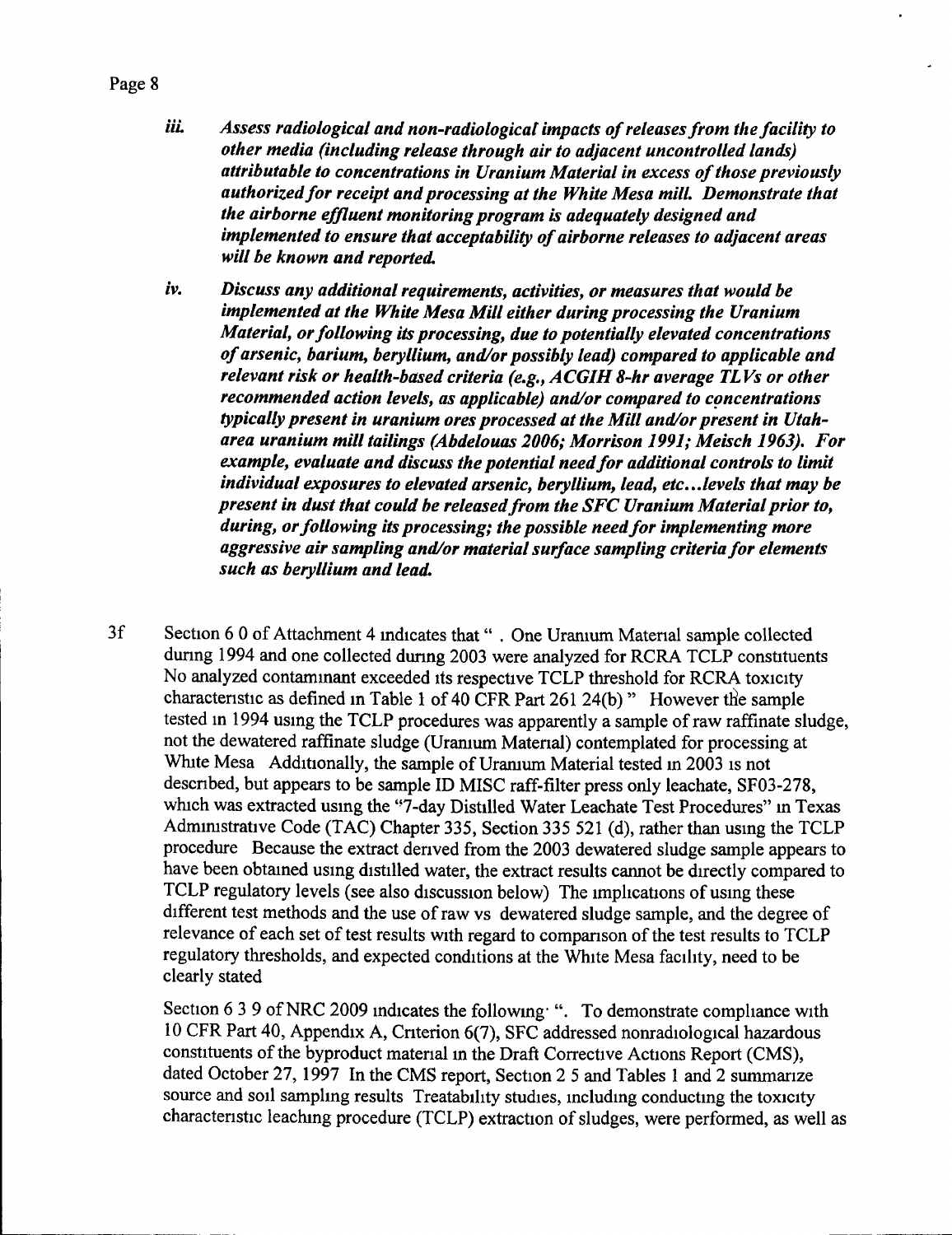*iii.* Assess radiological and non-radiological impacts of releases from the facility to *other media (including release through air to adjacent uncontrolled lands) attributable to concentrations in Uranium Material in excess of those previously authorized for receipt and processing at the White Mesa mill. Demonstrate that the airborne effluent monitoring program is adequately designed and implemented to ensure that acceptability of airborne releases to adjacent areas will be known and reported,* 

- *iv. Discuss any additional requirements, activities, or measures that would be implemented at the White Mesa Mill either during processing the Uranium Material, or following its processing, due to potentially elevated concentrations of arsenic, barium, beryllium, and/or possibly lead) compared to applicable and relevant risk or health-based criteria (e,g,, ACGIH 8-hr average TL Vs or other recommended action levels, as applicable) and/or compared to concentrations typically present in uranium ores processed at the Mill and/or present in Utaharea uranium mill tailings (Abdelouas 2006; Morrison 1991; Meisch 1963), For example, evaluate and discuss the potential need for additional controls to limit individual exposures to elevated arsenic, beryllium, lead, etc...levels that may be present in dust that could be released from the SFC Uranium Material prior to, during, or following its processing; the possible need for implementing more aggressive air sampling and/or material surface sampling criteria for elements such as beryllium and lead.*
- 3f Section 6 0 of Attachment 4 indicates that" . One Uranium Material sample collected dunng 1994 and one collected dunng 2003 were analyzed for RCRA TCLP constituents No analyzed contaminant exceeded its respective TCLP threshold for RCRA toxicity characteristic as defined in Table 1 of 40 CFR Part 261 24(b) " However the sample tested in 1994 using the TCLP procedures was apparently a sample of raw raffinate sludge, not the dewatered raffinate sludge (Uranium Material) contemplated for processing at White Mesa Additionally, the sample of Uranium Material tested in 2003 is not descnbed, but appears to be sample ID MISC raff-filter press only leachate, SF03-278, which was extracted using the "7-day Distilled Water Leachate Test Procedures" in Texas Admimstrative Code (TAC) Chapter 335, Secfion 335 521 (d), rather than using the TCLP procedure Because the extract derived from the 2003 dewatered sludge sample appears to have been obtained using distilled water, the extract results cannot be directly compared to TCLP regulatory levels (see also discussion below) The implications of using these different test methods and the use of raw vs dewatered sludge sample, and the degree of relevance of each set of test results with regard to comparison of the test results to TCLP regulatory thresholds, and expected conditions at the White Mesa facility, need to be clearly stated

Section  $639$  of NRC 2009 indicates the following ". To demonstrate compliance with 10 CFR Part 40, Appendix A, Criterion 6(7), SFC addressed nonradiological hazardous constituents of the byproduct matenal in the Draft Conective Actions Report (CMS), dated October 27, 1997 In the CMS report. Section 2 5 and Tables 1 and 2 summarize source and soil sampling results Treatability studies, including conducting the toxicity characteristic leaching procedure (TCLP) extraction of sludges, were performed, as well as

#### Page 8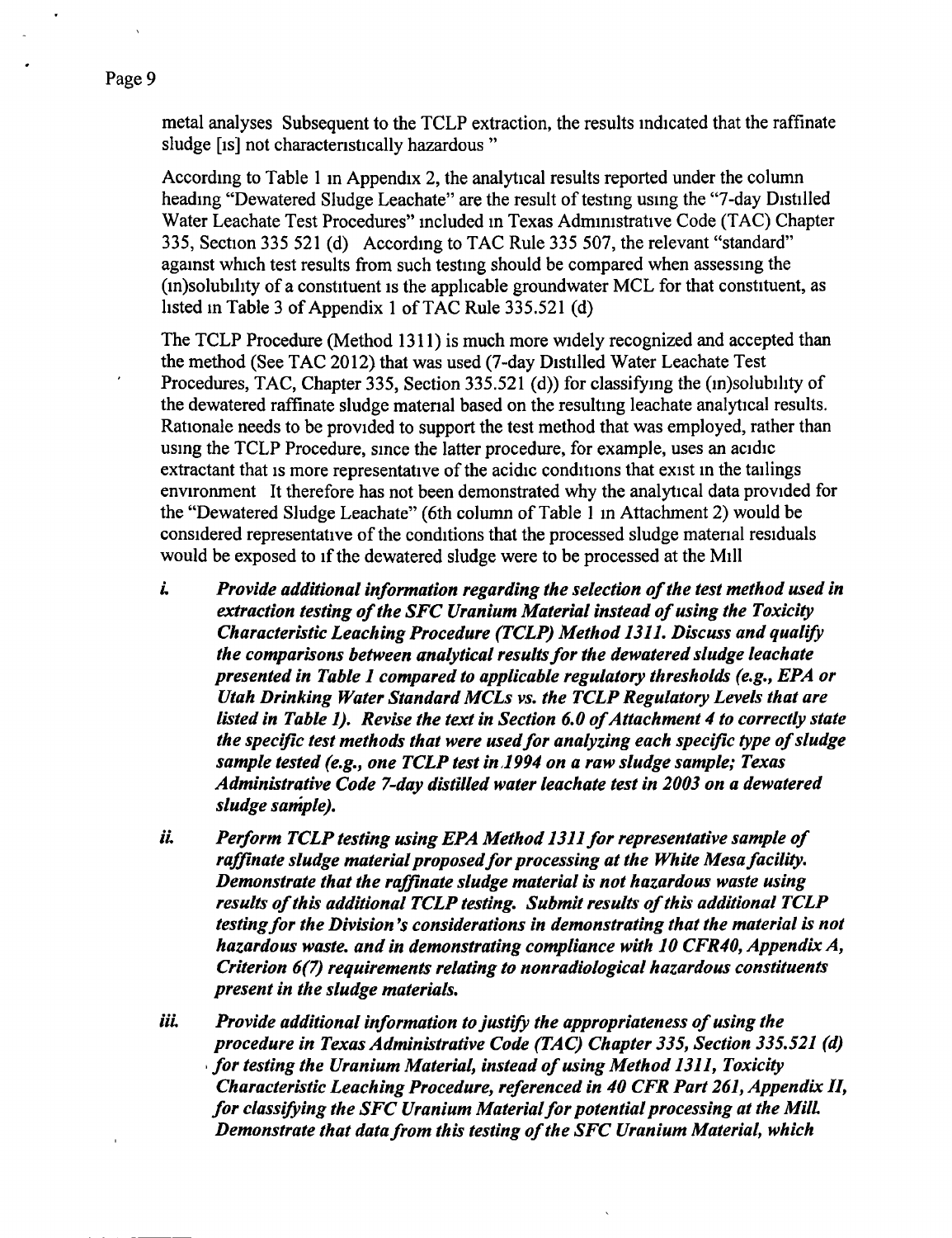metal analyses Subsequent to the TCLP extraction, the results indicated that the raffinate sludge [is] not charactenstically hazardous "

According to Table 1 m Appendix 2, the analytical results reported under the column heading "Dewatered Sludge Leachate" are the result of testing using the "7-day Distilled Water Leachate Test Procedures" included m Texas Administrative Code (TAC) Chapter 335, Section 335 521 (d) According to TAC Rule 335 507, the relevant "standard" against which test results from such testing should be compared when assessing the (in)solubility of a constituent is the applicable groundwater MCL for that constituent, as listed in Table 3 of Appendix 1 of TAC Rule 335.521 (d)

The TCLP Procedure (Method 1311) is much more widely recognized and accepted than the method (See TAC 2012) that was used (7-day Distilled Water Leachate Test Procedures, TAC, Chapter 335, Section 335.521 (d)) for classifying the (in)solubility of the dewatered raffinate sludge material based on the resulting leachate analytical results. Rationale needs to be provided to support the test method that was employed, rather than using the TCLP Procedure, since the latter procedure, for example, uses an acidic extractant that is more representative of the acidic conditions that exist in the tailings environment It therefore has not been demonstrated why the analytical data provided for the "Dewatered Sludge Leachate" (6th column of Table 1 in Attachment 2) would be considered representative of the conditions that the processed sludge material residuals would be exposed to if the dewatered sludge were to be processed at the Mill

- *L Provide additional information regarding the selection of the test method used in extraction testing of the SFC Uranium Material instead of using the Toxicity Characteristic Leaching Procedure (TCLP) Method 1311, Discuss and qualify the comparisons between analytical results for the dewatered sludge leachate presented in Table 1 compared to applicable regulatory thresholds (e,g,, EPA or Utah Drinking Water Standard MCLs vs, the TCLP Regulatory Levels that are listed in Table 1), Revise the text in Section 6,0 of Attachment 4 to correctly state the specific test methods that were used for analyzing each specific type of sludge sample tested (e,g,, one TCLP test in 1994 on a raw sludge sample; Texas Administrative Code 7-day distilled water leachate test in 2003 on a dewatered sludge sample),*
- *iL Perform TCLP testing using EPA Method 1311 for representative sample of*  raffinate sludge material proposed for processing at the White Mesa facility. *Demonstrate that the raffinate sludge material is not hazardous waste using results of this additional TCLP testing. Submit results of this additional TCLP testing for the Division \*s considerations in demonstrating that the material is not hazardous waste, and in demonstrating compliance with 10 CFR40, Appendix A, Criterion 6(7) requirements relating to nonradiological hazardous constituents present in the sludge materials,*
- iii. Provide additional information to justify the appropriateness of using the *procedure in Texas Administrative Code (TAC) Chapter 335, Section 335,521 (d) > for testing the Uranium Material, instead of using Method 1311, Toxicity Characteristic Leaching Procedure, referenced in 40 CFR Part 261, Appendix II, for classifying the SFC Uranium Material for potential processing at the MilL Demonstrate that data from this testing of the SFC Uranium Material, which*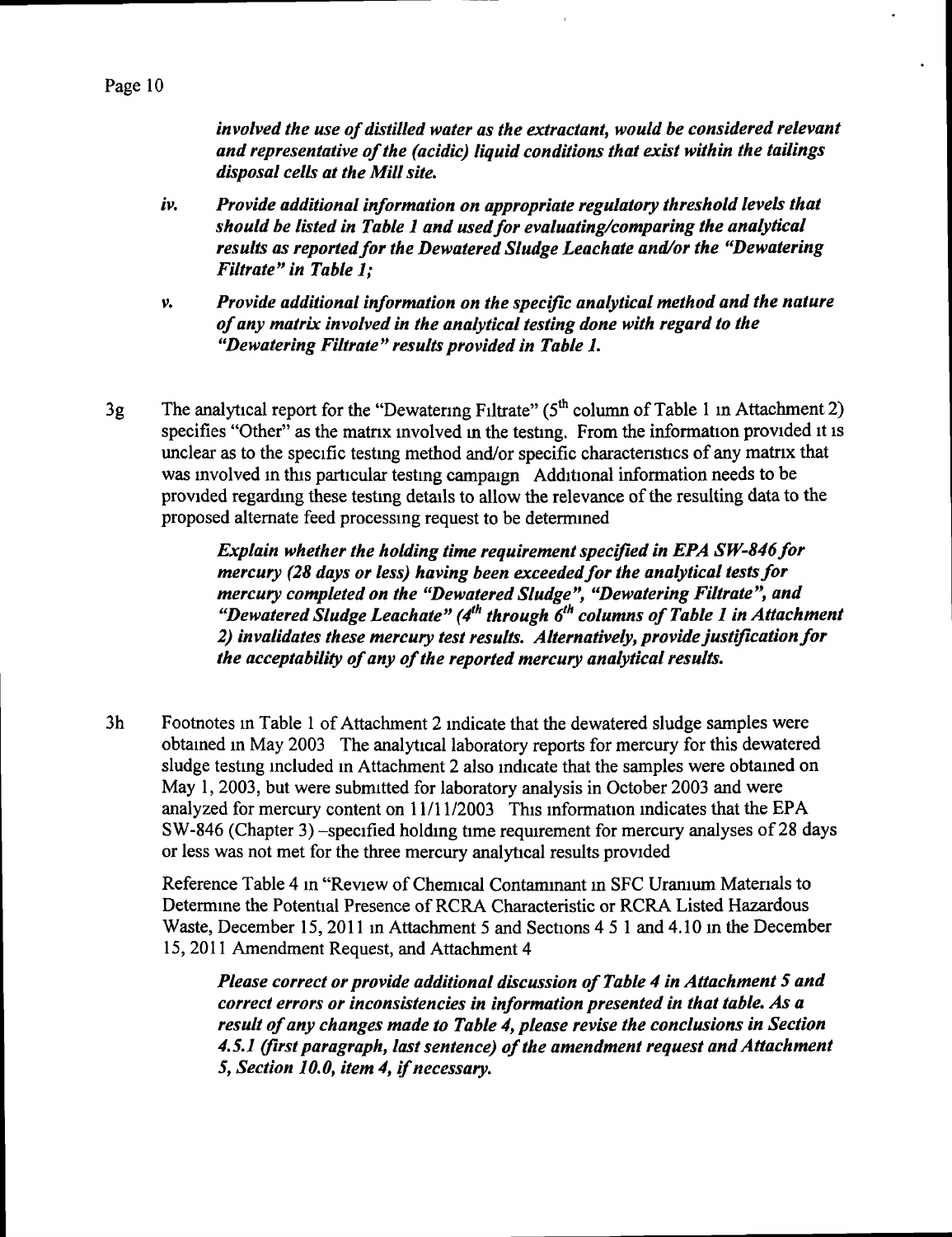*involved the use of distilled water as the extractant, would be considered relevant and representative of the (acidic) liquid conditions that exist within the tailings disposal cells at the Mill site,* 

- *iv. Provide additional information on appropriate regulatory threshold levels that should be listed in Table 1 and used for evaluating/comparing the analytical results as reported for the Dewatered Sludge Leachate and/or the "Dewatering Filtrate" in Table 1;*
- *V. Provide additional information on the specific analytical method and the nature of any matrix involved in the analytical testing done with regard to the "Dewatering Filtrate" results provided in Table 1,*
- 3g The analytical report for the "Dewatering Filtrate" ( $5<sup>th</sup>$  column of Table 1 in Attachment 2) specifies "Other" as the matrix involved in the testing. From the information provided it is unclear as to the specific testing method and/or specific charactenstics of any matrix that was involved in this particular testing campaign Additional information needs to be provided regarding these testing details to allow the relevance of the resulting data to the proposed altemate feed processing request to be determined

*Explain whether the holding time requirement specified in EPA SW-846for mercury (28 days or less) having been exceeded for the analytical tests for mercury completed on the "Dewatered Sludge", "Dewatering Filtrate", and "Dewatered Sludge Leachate" (4<sup>th</sup> through 6<sup>th</sup> columns of Table 1 in Attachment 2) invalidates these mercury test results. Alternatively, provide justification for the acceptability of any of the reported mercury analytical results.* 

3h Footnotes in Table 1 of Attachment 2 indicate that the dewatered sludge samples were obtained in May 2003 The analytical laboratory reports for mercury for this dewatered sludge testing included in Attachment 2 also indicate that the samples were obtained on May 1, 2003, but were submitted for laboratory analysis in October 2003 and were analyzed for mercury content on 11/11/2003 This information indicates that the EPA SW-846 (Chapter 3) -specified holding time requirement for mercury analyses of 28 days or less was not met for the three mercury analytical results provided

Reference Table 4 in "Review of Chemical Contaminant m SFC Uramum Matenals to Determine the Potential Presence of RCRA Characteristic or RCRA Listed Hazardous Waste, December 15, 2011 in Attachment 5 and Sections 4 5 1 and 4.10 in the December 15, 2011 Amendment Request, and Attachment 4

*Please correct or provide additional discussion of Table 4 in Attachment 5 and correct errors or inconsistencies in information presented in that table. As a result of any changes made to Table 4, please revise the conclusions in Section 4,5.1 (first paragraph, last sentence) of the amendment request and Attachment 5, Section 10,0, item 4, if necessary.*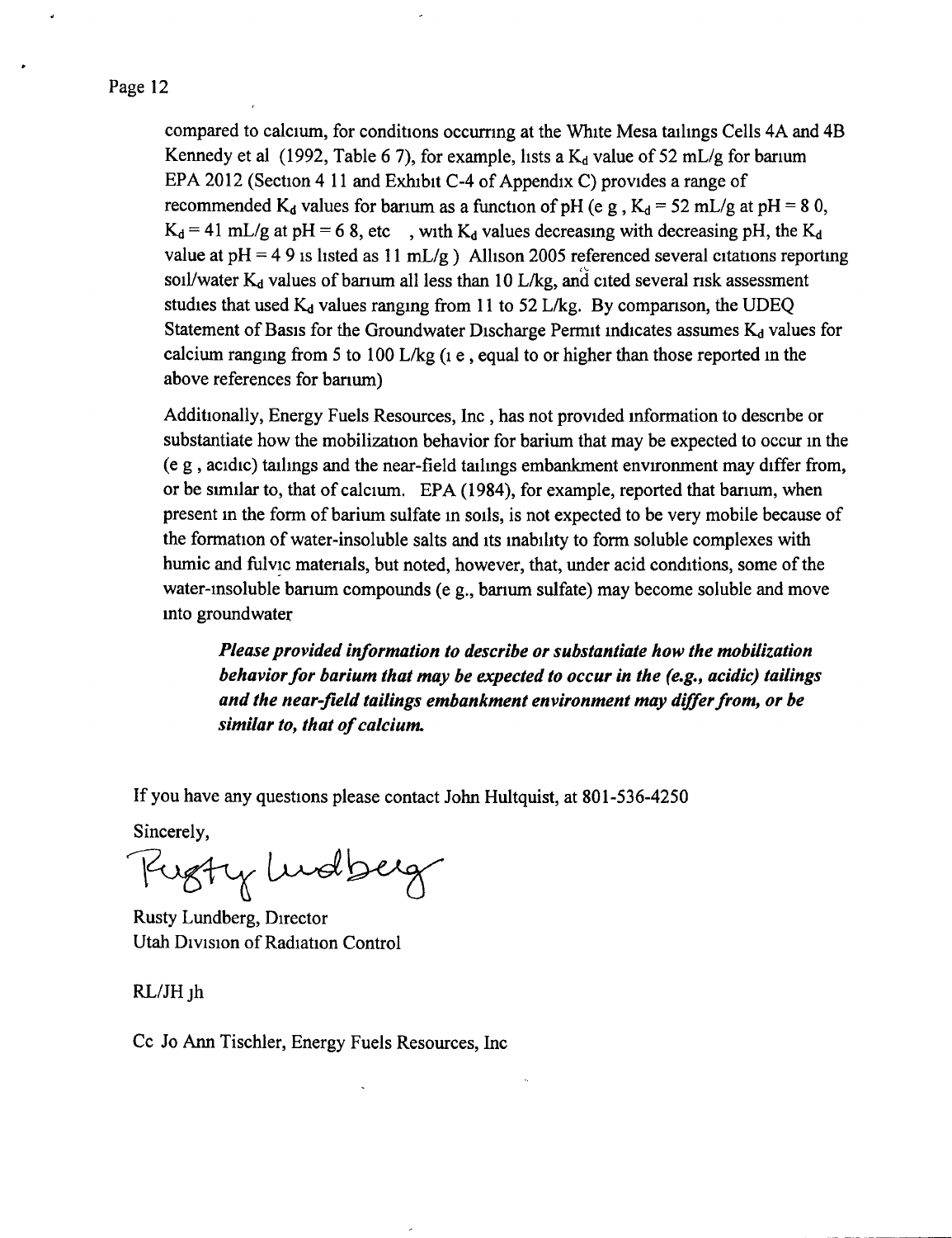#### Page 12

compared to calcium, for conditions occurring at the White Mesa tailings Cells 4A and 4B Kennedy et al (1992, Table 6 7), for example, lists a  $K_d$  value of 52 mL/g for barium EPA 2012 (Section 4 11 and Exhibit C-4 of Appendix C) provides a range of recommended K<sub>d</sub> values for barium as a function of pH (e g, K<sub>d</sub> = 52 mL/g at pH = 8 0,  $K_d = 41$  mL/g at pH = 6 8, etc , with  $K_d$  values decreasing with decreasing pH, the  $K_d$ value at  $pH = 49$  is listed as 11 mL/g ) Allison 2005 referenced several citations reporting soil/water  $K_d$  values of barium all less than 10 L/kg, and cited several risk assessment studies that used  $K_d$  values ranging from 11 to 52 L/kg. By comparison, the UDEQ Statement of Basis for the Groundwater Discharge Permit indicates assumes  $K_d$  values for calcium ranging from 5 to 100 L/kg (i e , equal to or higher than those reported in the above references for barium)

Additionally, Energy Fuels Resources, Inc , has not provided information to descnbe or substantiate how the mobilization behavior for barium that may be expected to occur in the (e g , acidic) tailings and the near-field tailings embankment environment may differ from, or be similar to, that of calcium. EPA (1984), for example, reported that barium, when present in the form of barium sulfate in soils, is not expected to be very mobile because of the formation of water-insoluble salts and its inability to form soluble complexes with humic and fulvic materials, but noted, however, that, under acid conditions, some of the water-insoluble banum compounds (e g., barium sulfate) may become soluble and move into groundwater

*Please provided information to describe or substantiate how the mobilization behavior for barium that may be expected to occur in the (e,g,, acidic) tailings and the near-field tailings embankment environment may differ from, or be similar to, that of calcium.* 

If you have any questions please contact John Hultquist, at 801-536-4250

Sincerely,

Rugty Ludberg

Rusty Lundberg, Director Utah Division of Radiation Control

RL/JH<sub>jh</sub>

Cc Jo Ann Tischler, Energy Fuels Resources, Inc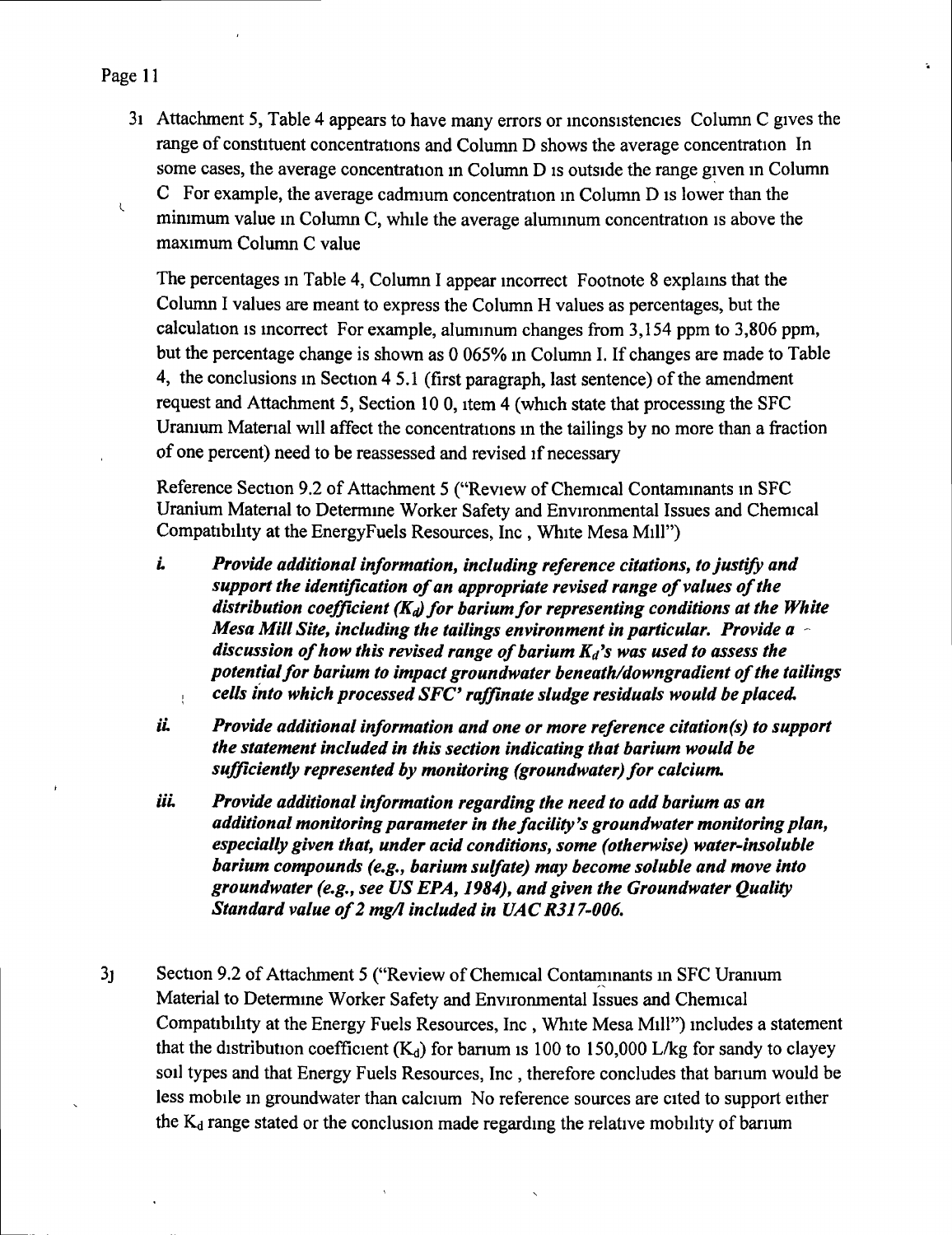#### Page 11

 $\mathcal{L}$ 

31 Attachment 5, Table 4 appears to have many errors or inconsistencies Column C gives the range of constituent concentrations and Column D shows the average concentration In some cases, the average concentration m Column D is outside the range given in Column C For example, the average cadmium concentration m Column D is lower than the minimum value in Column C, while the average aluminum concentration is above the maximum Column C value

The percentages in Table 4, Column I appear incorrect Footnote 8 explains that the Column I values are meant to express the Column H values as percentages, but the calculation is incorrect For example, aluminum changes from 3,154 ppm to 3,806 ppm, but the percentage change is shovm as 0 065% in Column I. If changes are made to Table 4, the conclusions in Section 4 5.1 (first paragraph, last sentence) of the amendment request and Attachment 5, Section 10 0, item 4 (which state that processing the SFC Uramum Material will affect the concentrations in the tailings by no more than a fraction of one percent) need to be reassessed and revised if necessary

Reference Section 9.2 of Attachment 5 ("Review of Chemical Contaminants in SFC Uranium Material to Determine Worker Safety and Environmental Issues and Chemical Compatibility at the EnergyFuels Resources, Inc , White Mesa Mill")

- *L Provide additional information, including reference citations, to justify and support the identification of an appropriate revised range of values of the distribution coefficient (* $K_d$ *) for barium for representing conditions at the White Mesa Mill Site, including the tailings environment in particular. Provide a discussion of how this revised range of barium*  $K_d$ *'s was used to assess the potentialfor barium to impact groundwater beneath/downgradient of the tailings cells into which processed SFC\* raffinate sludge residuals would be placed,*  Ţ.
- *iL Provide additional information and one or more reference citation(s) to support the statement included in this section indicating that barium would be sufficiently represented by monitoring (groundwater) for calcium,*
- iii. Provide additional information regarding the need to add barium as an *additional monitoring parameter in the facility's groundwater monitoring plan, especially given that, under acid conditions, some (otherwise) water-insoluble barium compounds (e,g,, barium sulfate) may become soluble and move into groundwater (e,g,, see US EPA, 1984), and given the Groundwater Quality Standard value of 2 mg/l included in UACR317'006,*
- 3j Section 9.2 of Attachment 5 ("Review of Chemical Contaminants in SFC Uranium Material to Determine Worker Safety and Environmental Issues and Chemical Compatibility at the Energy Fuels Resources, Inc , White Mesa Mill") includes a statement that the distribution coefficient  $(K_d)$  for barium is 100 to 150,000 L/kg for sandy to clayey soil types and that Energy Fuels Resources, Inc , therefore concludes that barium would be less mobile in groundwater than calcium No reference sources are cited to support either the  $K_d$  range stated or the conclusion made regarding the relative mobility of barium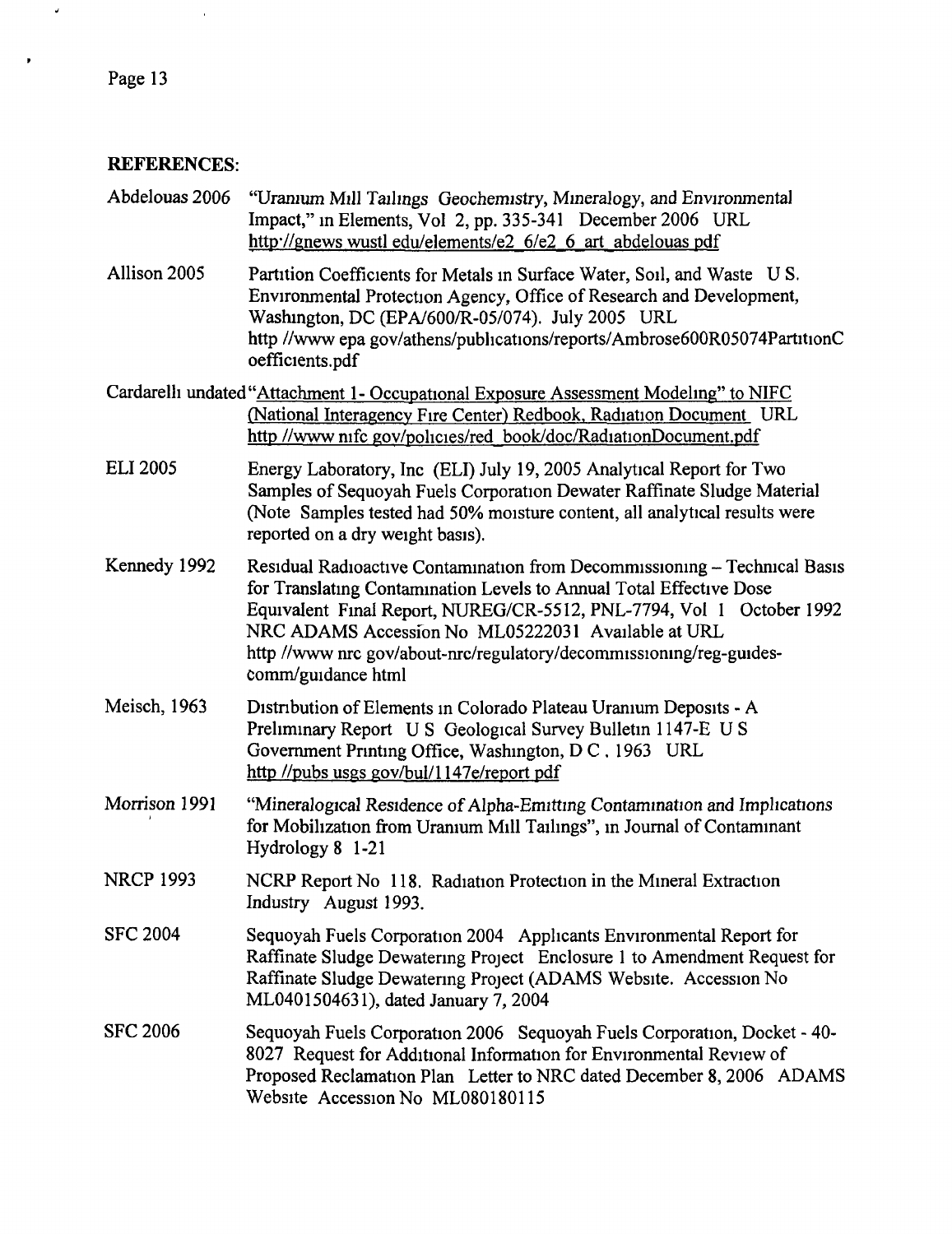# **REFERENCES:**

 $\sim$   $^{\circ}$ 

| Abdelouas 2006   | "Uranium Mill Tailings Geochemistry, Mineralogy, and Environmental<br>Impact," in Elements, Vol 2, pp. 335-341 December 2006 URL<br>http://gnews.wustl.edu/elements/e2_6/e2_6_art_abdelouas.pdf                                                                                                                                                                             |
|------------------|-----------------------------------------------------------------------------------------------------------------------------------------------------------------------------------------------------------------------------------------------------------------------------------------------------------------------------------------------------------------------------|
| Allison 2005     | Partition Coefficients for Metals in Surface Water, Soil, and Waste U S.<br>Environmental Protection Agency, Office of Research and Development,<br>Washington, DC (EPA/600/R-05/074). July 2005 URL<br>http //www.epa.gov/athens/publications/reports/Ambrose600R05074PartitionC<br>oefficients.pdf                                                                        |
|                  | Cardarelli undated "Attachment 1- Occupational Exposure Assessment Modeling" to NIFC<br>(National Interagency Fire Center) Redbook, Radiation Document URL<br>http //www.nifc.gov/policies/red_book/doc/RadiationDocument.pdf                                                                                                                                               |
| <b>ELI 2005</b>  | Energy Laboratory, Inc (ELI) July 19, 2005 Analytical Report for Two<br>Samples of Sequoyah Fuels Corporation Dewater Raffinate Sludge Material<br>(Note Samples tested had 50% moisture content, all analytical results were<br>reported on a dry weight basis).                                                                                                           |
| Kennedy 1992     | Residual Radioactive Contamination from Decommissioning - Technical Basis<br>for Translating Contamination Levels to Annual Total Effective Dose<br>Equivalent Final Report, NUREG/CR-5512, PNL-7794, Vol 1 October 1992<br>NRC ADAMS Accession No ML05222031 Available at URL<br>http //www nrc gov/about-nrc/regulatory/decommissioning/reg-guides-<br>comm/guidance html |
| Meisch, 1963     | Distribution of Elements in Colorado Plateau Uranium Deposits - A<br>Preliminary Report U S Geological Survey Bulletin 1147-E U S<br>Government Printing Office, Washington, D C. 1963 URL<br>http //pubs usgs gov/bul/1147e/report pdf                                                                                                                                     |
| Morrison 1991    | "Mineralogical Residence of Alpha-Emitting Contamination and Implications<br>for Mobilization from Uranium Mill Tailings", in Journal of Contaminant<br>Hydrology 8 1-21                                                                                                                                                                                                    |
| <b>NRCP 1993</b> | NCRP Report No 118. Radiation Protection in the Mineral Extraction<br>Industry August 1993.                                                                                                                                                                                                                                                                                 |
| <b>SFC 2004</b>  | Sequoyah Fuels Corporation 2004 Applicants Environmental Report for<br>Raffinate Sludge Dewatering Project Enclosure 1 to Amendment Request for<br>Raffinate Sludge Dewatering Project (ADAMS Website. Accession No<br>ML0401504631), dated January 7, 2004                                                                                                                 |
| <b>SFC 2006</b>  | Sequoyah Fuels Corporation 2006 Sequoyah Fuels Corporation, Docket - 40-<br>8027 Request for Additional Information for Environmental Review of<br>Proposed Reclamation Plan Letter to NRC dated December 8, 2006 ADAMS<br>Website Accession No ML080180115                                                                                                                 |

 $\vec{\bullet}$ 

 $\bullet$